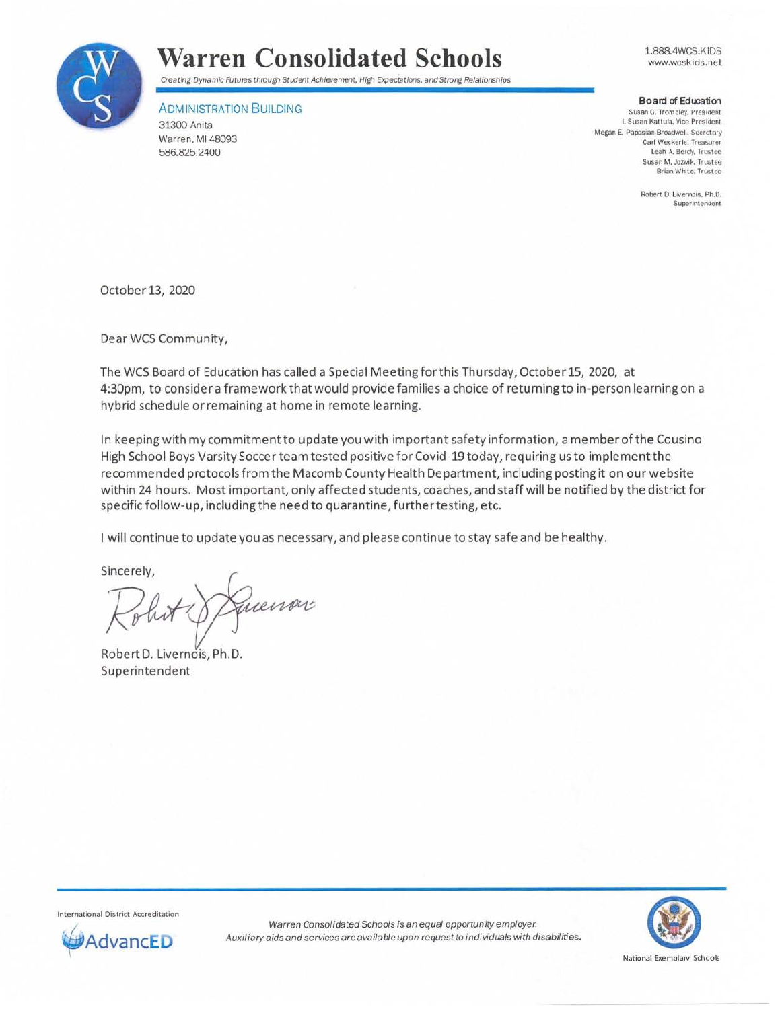

1.888.4WCS.KIDS www.wcskids.net



## ADMINISTRATION BUILDING

31300 Anita Warren, Ml 48093 586.825.2400

**Board of Education** 

**Susan G. Trombley, President I. Susan Kattula. Vice President**  Megan E. Papasian-Broadwell. Secretary **Carl Weckerle. Treasurer Leah A. Berdy, Trustee Susan M.Jozwik. Trustee Brian White, Trustee** 

> **Robert 0. Livernois. Ph.D. Superintendent**

October 13, 2020

Dear WCS Community,

The WCS Board of Education has called a Special Meeting forth is Thursday, October 15, 2020, at 4:30pm, to consider a framework that would provide families a choice of returning to in-person learning on a hybrid schedule or remaining at home in remote learning.

In keeping with my commitment to update you with important safety information, a memberofthe Cousino High School Boys Varsity Soccer team tested positive forCovid-19 today, requiring us to implement the recommended protocols from the Macomb County Health Department, including posting it on our website within 24 hours. Most important, only affected students, coaches, and staff will be notified by the district for specific follow-up, including the need to quarantine, furthertesting, etc.

I will continue to update you as necessary, and please continue to stay safe and be healthy.

Sincerely,

fuenov

Robert D. Livernois, Ph.D. Superintendent

**International District Accreditation**